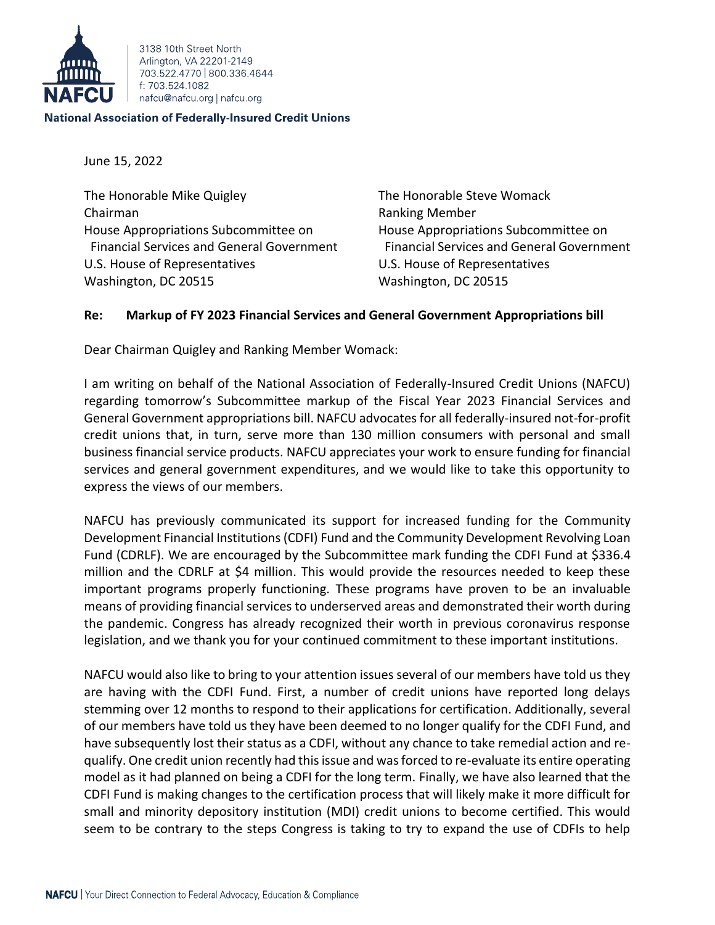

3138 10th Street North Arlington, VA 22201-2149 703 522 4770 800 336 4644 f: 703.524.1082 nafcu@nafcu.org | nafcu.org

## **National Association of Federally-Insured Credit Unions**

June 15, 2022

The Honorable Mike Quigley The Honorable Steve Womack Chairman **Ranking Member** Ranking Member House Appropriations Subcommittee on House Appropriations Subcommittee on U.S. House of Representatives U.S. House of Representatives Washington, DC 20515 Washington, DC 20515

Financial Services and General Government Financial Services and General Government

## **Re: Markup of FY 2023 Financial Services and General Government Appropriations bill**

Dear Chairman Quigley and Ranking Member Womack:

I am writing on behalf of the National Association of Federally-Insured Credit Unions (NAFCU) regarding tomorrow's Subcommittee markup of the Fiscal Year 2023 Financial Services and General Government appropriations bill. NAFCU advocates for all federally-insured not-for-profit credit unions that, in turn, serve more than 130 million consumers with personal and small business financial service products. NAFCU appreciates your work to ensure funding for financial services and general government expenditures, and we would like to take this opportunity to express the views of our members.

NAFCU has previously communicated its support for increased funding for the Community Development Financial Institutions (CDFI) Fund and the Community Development Revolving Loan Fund (CDRLF). We are encouraged by the Subcommittee mark funding the CDFI Fund at \$336.4 million and the CDRLF at \$4 million. This would provide the resources needed to keep these important programs properly functioning. These programs have proven to be an invaluable means of providing financial services to underserved areas and demonstrated their worth during the pandemic. Congress has already recognized their worth in previous coronavirus response legislation, and we thank you for your continued commitment to these important institutions.

NAFCU would also like to bring to your attention issues several of our members have told us they are having with the CDFI Fund. First, a number of credit unions have reported long delays stemming over 12 months to respond to their applications for certification. Additionally, several of our members have told us they have been deemed to no longer qualify for the CDFI Fund, and have subsequently lost their status as a CDFI, without any chance to take remedial action and requalify. One credit union recently had this issue and was forced to re-evaluate its entire operating model as it had planned on being a CDFI for the long term. Finally, we have also learned that the CDFI Fund is making changes to the certification process that will likely make it more difficult for small and minority depository institution (MDI) credit unions to become certified. This would seem to be contrary to the steps Congress is taking to try to expand the use of CDFIs to help